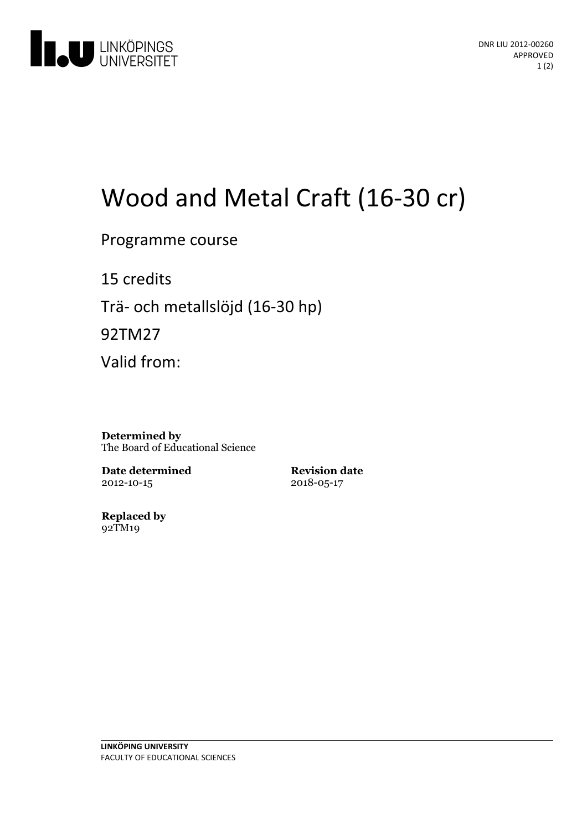

# Wood and Metal Craft (16-30 cr)

Programme course

15 credits Trä- och metallslöjd (16-30 hp)

92TM27

Valid from:

**Determined by** The Board of Educational Science

**Date determined** 2012-10-15

**Revision date** 2018-05-17

**Replaced by** 92TM19